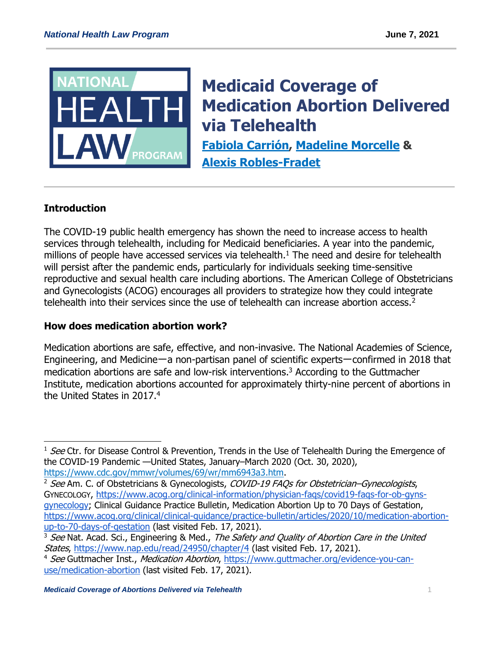

# **[Medicaid Coverage of](https://healthlaw.org/resource/amicus-brief-in-support-of-marylands-anti-price-gouging-law-for-prescription-drugs/)  [Medication Abortion Delivered](https://healthlaw.org/resource/amicus-brief-in-support-of-marylands-anti-price-gouging-law-for-prescription-drugs/)  [via Telehealth](https://healthlaw.org/resource/amicus-brief-in-support-of-marylands-anti-price-gouging-law-for-prescription-drugs/)**

**[Fabiola Carrión,](https://healthlaw.org/team/fabiola-carrion/) [Madeline Morcelle](https://healthlaw.org/team/madeline-morcelle/) & [Alexis Robles-Fradet](https://healthlaw.org/team/alexis-robles/)**

# **Introduction**

 $\overline{a}$ 

The COVID-19 public health emergency has shown the need to increase access to health services through telehealth, including for Medicaid beneficiaries. A year into the pandemic, millions of people have accessed services via telehealth.<sup>1</sup> The need and desire for telehealth will persist after the pandemic ends, particularly for individuals seeking time-sensitive reproductive and sexual health care including abortions. The American College of Obstetricians and Gynecologists (ACOG) encourages all providers to strategize how they could integrate telehealth into their services since the use of telehealth can increase abortion access.<sup>2</sup>

## **How does medication abortion work?**

Medication abortions are safe, effective, and non-invasive. The National Academies of Science, Engineering, and Medicine一a non-partisan panel of scientific experts一confirmed in 2018 that medication abortions are safe and low-risk interventions.<sup>3</sup> According to the Guttmacher Institute, medication abortions accounted for approximately thirty-nine percent of abortions in the United States in 2017.<sup>4</sup>

<sup>&</sup>lt;sup>1</sup> See Ctr. for Disease Control & Prevention, Trends in the Use of Telehealth During the Emergence of the COVID-19 Pandemic —United States, January–March 2020 (Oct. 30, 2020), [https://www.cdc.gov/mmwr/volumes/69/wr/mm6943a3.htm.](https://www.cdc.gov/mmwr/volumes/69/wr/mm6943a3.htm)

<sup>&</sup>lt;sup>2</sup> See Am. C. of Obstetricians & Gynecologists, COVID-19 FAQs for Obstetrician–Gynecologists, GYNECOLOGY, [https://www.acog.org/clinical-information/physician-faqs/covid19-faqs-for-ob-gyns](https://www.acog.org/clinical-information/physician-faqs/covid19-faqs-for-ob-gyns-gynecology)[gynecology;](https://www.acog.org/clinical-information/physician-faqs/covid19-faqs-for-ob-gyns-gynecology) Clinical Guidance Practice Bulletin, Medication Abortion Up to 70 Days of Gestation, [https://www.acog.org/clinical/clinical-guidance/practice-bulletin/articles/2020/10/medication-abortion](https://www.acog.org/clinical/clinical-guidance/practice-bulletin/articles/2020/10/medication-abortion-up-to-70-days-of-gestation)[up-to-70-days-of-gestation](https://www.acog.org/clinical/clinical-guidance/practice-bulletin/articles/2020/10/medication-abortion-up-to-70-days-of-gestation) (last visited Feb. 17, 2021).

<sup>&</sup>lt;sup>3</sup> See Nat. Acad. Sci., Engineering & Med., The Safety and Quality of Abortion Care in the United States,<https://www.nap.edu/read/24950/chapter/4> (last visited Feb. 17, 2021).

<sup>&</sup>lt;sup>4</sup> See Guttmacher Inst., Medication Abortion, [https://www.guttmacher.org/evidence-you-can](https://www.guttmacher.org/evidence-you-can-use/medication-abortion)[use/medication-abortion](https://www.guttmacher.org/evidence-you-can-use/medication-abortion) (last visited Feb. 17, 2021).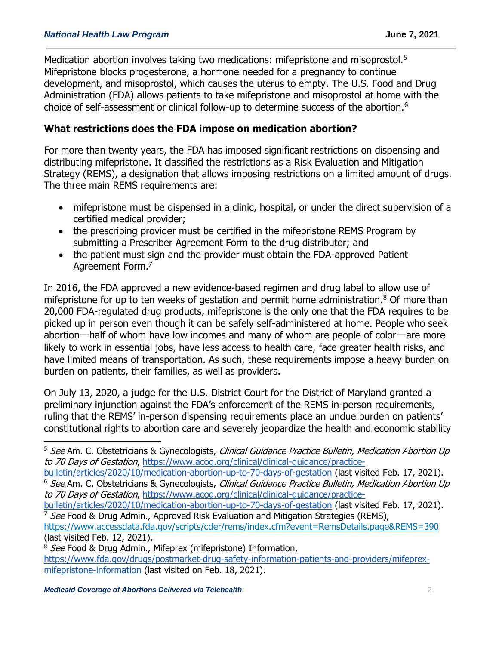Medication abortion involves taking two medications: mifepristone and misoprostol.<sup>5</sup> Mifepristone blocks progesterone, a hormone needed for a pregnancy to continue development, and misoprostol, which causes the uterus to empty. The U.S. Food and Drug Administration (FDA) allows patients to take mifepristone and misoprostol at home with the choice of self-assessment or clinical follow-up to determine success of the abortion.<sup>6</sup>

#### **What restrictions does the FDA impose on medication abortion?**

For more than twenty years, the FDA has imposed significant restrictions on dispensing and distributing mifepristone. It classified the restrictions as a Risk Evaluation and Mitigation Strategy (REMS), a designation that allows imposing restrictions on a limited amount of drugs. The three main REMS requirements are:

- mifepristone must be dispensed in a clinic, hospital, or under the direct supervision of a certified medical provider;
- the prescribing provider must be certified in the mifepristone REMS Program by submitting a Prescriber Agreement Form to the drug distributor; and
- the patient must sign and the provider must obtain the FDA-approved Patient Agreement Form.<sup>7</sup>

In 2016, the FDA approved a new evidence-based regimen and drug label to allow use of mifepristone for up to ten weeks of gestation and permit home administration. $8$  Of more than 20,000 FDA-regulated drug products, mifepristone is the only one that the FDA requires to be picked up in person even though it can be safely self-administered at home. People who seek abortionーhalf of whom have low incomes and many of whom are people of colorーare more likely to work in essential jobs, have less access to health care, face greater health risks, and have limited means of transportation. As such, these requirements impose a heavy burden on burden on patients, their families, as well as providers.

On July 13, 2020, a judge for the U.S. District Court for the District of Maryland granted a preliminary injunction against the FDA's enforcement of the REMS in-person requirements, ruling that the REMS' in-person dispensing requirements place an undue burden on patients' constitutional rights to abortion care and severely jeopardize the health and economic stability

[bulletin/articles/2020/10/medication-abortion-up-to-70-days-of-gestation](https://www.acog.org/clinical/clinical-guidance/practice-bulletin/articles/2020/10/medication-abortion-up-to-70-days-of-gestation) (last visited Feb. 17, 2021). <sup>6</sup> See Am. C. Obstetricians & Gynecologists, Clinical Guidance Practice Bulletin, Medication Abortion Up to 70 Days of Gestation, [https://www.acog.org/clinical/clinical-guidance/practice-](https://www.acog.org/clinical/clinical-guidance/practice-bulletin/articles/2020/10/medication-abortion-up-to-70-days-of-gestation)

<https://www.accessdata.fda.gov/scripts/cder/rems/index.cfm?event=RemsDetails.page&REMS=390> (last visited Feb. 12, 2021).

 $\overline{a}$ 

<sup>&</sup>lt;sup>5</sup> See Am. C. Obstetricians & Gynecologists, Clinical Guidance Practice Bulletin, Medication Abortion Up to 70 Days of Gestation, [https://www.acog.org/clinical/clinical-guidance/practice-](https://www.acog.org/clinical/clinical-guidance/practice-bulletin/articles/2020/10/medication-abortion-up-to-70-days-of-gestation)

[bulletin/articles/2020/10/medication-abortion-up-to-70-days-of-gestation](https://www.acog.org/clinical/clinical-guidance/practice-bulletin/articles/2020/10/medication-abortion-up-to-70-days-of-gestation) (last visited Feb. 17, 2021). <sup>7</sup> See Food & Drug Admin., Approved Risk Evaluation and Mitigation Strategies (REMS),

<sup>&</sup>lt;sup>8</sup> See Food & Drug Admin., Mifeprex (mifepristone) Information,

[https://www.fda.gov/drugs/postmarket-drug-safety-information-patients-and-providers/mifeprex](https://www.fda.gov/drugs/postmarket-drug-safety-information-patients-and-providers/mifeprex-mifepristone-information)[mifepristone-information](https://www.fda.gov/drugs/postmarket-drug-safety-information-patients-and-providers/mifeprex-mifepristone-information) (last visited on Feb. 18, 2021).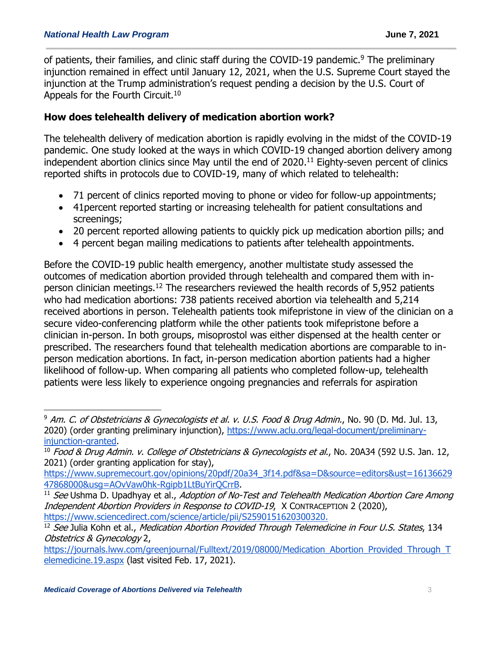of patients, their families, and clinic staff during the COVID-19 pandemic.<sup>9</sup> The preliminary injunction remained in effect until January 12, 2021, when the U.S. Supreme Court stayed the injunction at the Trump administration's request pending a decision by the U.S. Court of Appeals for the Fourth Circuit.<sup>10</sup>

#### **How does telehealth delivery of medication abortion work?**

The telehealth delivery of medication abortion is rapidly evolving in the midst of the COVID-19 pandemic. One study looked at the ways in which COVID-19 changed abortion delivery among independent abortion clinics since May until the end of 2020. <sup>11</sup> Eighty-seven percent of clinics reported shifts in protocols due to COVID-19, many of which related to telehealth:

- 71 percent of clinics reported moving to phone or video for follow-up appointments;
- 41 percent reported starting or increasing telehealth for patient consultations and screenings;
- 20 percent reported allowing patients to quickly pick up medication abortion pills; and
- 4 percent began mailing medications to patients after telehealth appointments.

Before the COVID-19 public health emergency, another multistate study assessed the outcomes of medication abortion provided through telehealth and compared them with inperson clinician meetings.<sup>12</sup> The researchers reviewed the health records of 5,952 patients who had medication abortions: 738 patients received abortion via telehealth and 5,214 received abortions in person. Telehealth patients took mifepristone in view of the clinician on a secure video-conferencing platform while the other patients took mifepristone before a clinician in-person. In both groups, misoprostol was either dispensed at the health center or prescribed. The researchers found that telehealth medication abortions are comparable to inperson medication abortions. In fact, in-person medication abortion patients had a higher likelihood of follow-up. When comparing all patients who completed follow-up, telehealth patients were less likely to experience ongoing pregnancies and referrals for aspiration

<sup>9</sup> Am. C. of Obstetricians & Gynecologists et al. v. U.S. Food & Drug Admin., No. 90 (D. Md. Jul. 13, 2020) (order granting preliminary injunction), [https://www.aclu.org/legal-document/preliminary](https://www.aclu.org/legal-document/preliminary-injunction-granted)[injunction-granted.](https://www.aclu.org/legal-document/preliminary-injunction-granted)

<sup>&</sup>lt;sup>10</sup> Food & Drug Admin. v. College of Obstetricians & Gynecologists et al., No. 20A34 (592 U.S. Jan. 12, 2021) (order granting application for stay),

[https://www.supremecourt.gov/opinions/20pdf/20a34\\_3f14.pdf&sa=D&source=editors&ust=16136629](https://www.supremecourt.gov/opinions/20pdf/20a34_3f14.pdf&sa=D&source=editors&ust=1613662947868000&usg=AOvVaw0hk-Rgipb1LtBuYirQCrrB) [47868000&usg=AOvVaw0hk-Rgipb1LtBuYirQCrrB.](https://www.supremecourt.gov/opinions/20pdf/20a34_3f14.pdf&sa=D&source=editors&ust=1613662947868000&usg=AOvVaw0hk-Rgipb1LtBuYirQCrrB)

 $11$  See Ushma D. Upadhyay et al., Adoption of No-Test and Telehealth Medication Abortion Care Among Independent Abortion Providers in Response to COVID-19, X CONTRACEPTION 2 (2020), [https://www.sciencedirect.com/science/article/pii/S2590151620300320.](https://www.sciencedirect.com/science/article/pii/S2590151620300320)

<sup>&</sup>lt;sup>12</sup> See Julia Kohn et al., Medication Abortion Provided Through Telemedicine in Four U.S. States, 134 Obstetrics & Gynecology 2,

[https://journals.lww.com/greenjournal/Fulltext/2019/08000/Medication\\_Abortion\\_Provided\\_Through\\_T](https://journals.lww.com/greenjournal/Fulltext/2019/08000/Medication_Abortion_Provided_Through_Telemedicine.19.aspx) [elemedicine.19.aspx](https://journals.lww.com/greenjournal/Fulltext/2019/08000/Medication_Abortion_Provided_Through_Telemedicine.19.aspx) (last visited Feb. 17, 2021).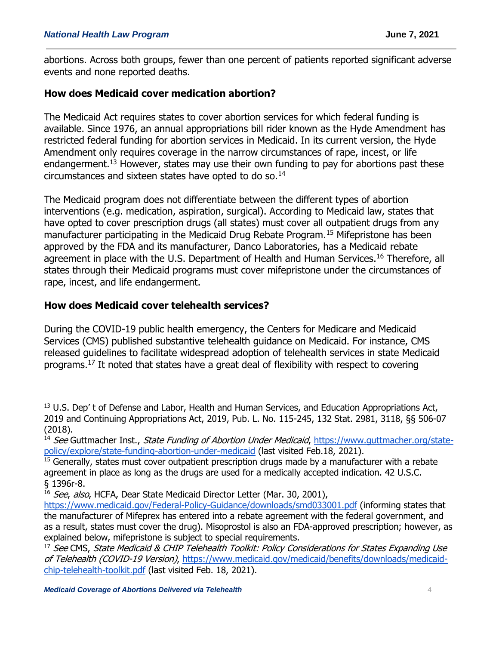abortions. Across both groups, fewer than one percent of patients reported significant adverse events and none reported deaths.

## **How does Medicaid cover medication abortion?**

The Medicaid Act requires states to cover abortion services for which federal funding is available. Since 1976, an annual appropriations bill rider known as the Hyde Amendment has restricted federal funding for abortion services in Medicaid. In its current version, the Hyde Amendment only requires coverage in the narrow circumstances of rape, incest, or life endangerment.<sup>13</sup> However, states may use their own funding to pay for abortions past these circumstances and sixteen states have opted to do so.<sup>14</sup>

The Medicaid program does not differentiate between the different types of abortion interventions (e.g. medication, aspiration, surgical). According to Medicaid law, states that have opted to cover prescription drugs (all states) must cover all outpatient drugs from any manufacturer participating in the Medicaid Drug Rebate Program.<sup>15</sup> Mifepristone has been approved by the FDA and its manufacturer, Danco Laboratories, has a Medicaid rebate agreement in place with the U.S. Department of Health and Human Services.<sup>16</sup> Therefore, all states through their Medicaid programs must cover mifepristone under the circumstances of rape, incest, and life endangerment.

# **How does Medicaid cover telehealth services?**

During the COVID-19 public health emergency, the Centers for Medicare and Medicaid Services (CMS) published substantive telehealth guidance on Medicaid. For instance, CMS released guidelines to facilitate widespread adoption of telehealth services in state Medicaid programs.<sup>17</sup> It noted that states have a great deal of flexibility with respect to covering

<sup>&</sup>lt;sup>13</sup> U.S. Dep' t of Defense and Labor, Health and Human Services, and Education Appropriations Act, 2019 and Continuing Appropriations Act, 2019, Pub. L. No. 115-245, 132 Stat. 2981, 3118, §§ 506-07 (2018).

<sup>&</sup>lt;sup>14</sup> See Guttmacher Inst., State Funding of Abortion Under Medicaid, [https://www.guttmacher.org/state](https://www.guttmacher.org/state-policy/explore/state-funding-abortion-under-medicaid)[policy/explore/state-funding-abortion-under-medicaid](https://www.guttmacher.org/state-policy/explore/state-funding-abortion-under-medicaid) (last visited Feb.18, 2021).

 $15$  Generally, states must cover outpatient prescription drugs made by a manufacturer with a rebate agreement in place as long as the drugs are used for a medically accepted indication. 42 U.S.C. § 1396r-8.

<sup>&</sup>lt;sup>16</sup> See, also, HCFA, Dear State Medicaid Director Letter (Mar. 30, 2001),

<https://www.medicaid.gov/Federal-Policy-Guidance/downloads/smd033001.pdf> (informing states that the manufacturer of Mifeprex has entered into a rebate agreement with the federal government, and as a result, states must cover the drug). Misoprostol is also an FDA-approved prescription; however, as explained below, mifepristone is subject to special requirements.

<sup>&</sup>lt;sup>17</sup> See CMS, State Medicaid & CHIP Telehealth Toolkit: Policy Considerations for States Expanding Use of Telehealth (COVID-19 Version), [https://www.medicaid.gov/medicaid/benefits/downloads/medicaid](https://www.medicaid.gov/medicaid/benefits/downloads/medicaid-chip-telehealth-toolkit.pdf)[chip-telehealth-toolkit.pdf](https://www.medicaid.gov/medicaid/benefits/downloads/medicaid-chip-telehealth-toolkit.pdf) (last visited Feb. 18, 2021).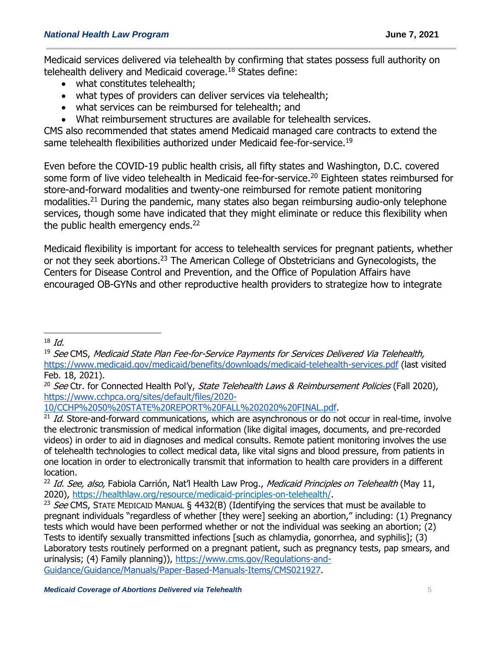Medicaid services delivered via telehealth by confirming that states possess full authority on telehealth delivery and Medicaid coverage.<sup>18</sup> States define:

- what constitutes telehealth;
- what types of providers can deliver services via telehealth;
- what services can be reimbursed for telehealth; and
- What reimbursement structures are available for telehealth services.

CMS also recommended that states amend Medicaid managed care contracts to extend the same telehealth flexibilities authorized under Medicaid fee-for-service.<sup>19</sup>

Even before the COVID-19 public health crisis, all fifty states and Washington, D.C. covered some form of live video telehealth in Medicaid fee-for-service.<sup>20</sup> Eighteen states reimbursed for store-and-forward modalities and twenty-one reimbursed for remote patient monitoring modalities.<sup>21</sup> During the pandemic, many states also began reimbursing audio-only telephone services, though some have indicated that they might eliminate or reduce this flexibility when the public health emergency ends.<sup>22</sup>

Medicaid flexibility is important for access to telehealth services for pregnant patients, whether or not they seek abortions.<sup>23</sup> The American College of Obstetricians and Gynecologists, the Centers for Disease Control and Prevention, and the Office of Population Affairs have encouraged OB-GYNs and other reproductive health providers to strategize how to integrate

[10/CCHP%2050%20STATE%20REPORT%20FALL%202020%20FINAL.pdf.](https://www.cchpca.org/sites/default/files/2020-10/CCHP%2050%20STATE%20REPORT%20FALL%202020%20FINAL.pdf)

 $\overline{a}$  $18$  *Id.* 

<sup>&</sup>lt;sup>19</sup> See CMS, Medicaid State Plan Fee-for-Service Payments for Services Delivered Via Telehealth, <https://www.medicaid.gov/medicaid/benefits/downloads/medicaid-telehealth-services.pdf> (last visited Feb. 18, 2021).

<sup>&</sup>lt;sup>20</sup> See Ctr. for Connected Health Pol'y, State Telehealth Laws & Reimbursement Policies (Fall 2020), [https://www.cchpca.org/sites/default/files/2020-](https://www.cchpca.org/sites/default/files/2020-10/CCHP%2050%20STATE%20REPORT%20FALL%202020%20FINAL.pdf)

 $21$  Id. Store-and-forward communications, which are asynchronous or do not occur in real-time, involve the electronic transmission of medical information (like digital images, documents, and pre-recorded videos) in order to aid in diagnoses and medical consults. Remote patient monitoring involves the use of telehealth technologies to collect medical data, like vital signs and blood pressure, from patients in one location in order to electronically transmit that information to health care providers in a different location.

<sup>&</sup>lt;sup>22</sup> Id. See, also, Fabiola Carrión, Nat'l Health Law Prog., Medicaid Principles on Telehealth (May 11, 2020), [https://healthlaw.org/resource/medicaid-principles-on-telehealth/.](https://healthlaw.org/resource/medicaid-principles-on-telehealth/)

<sup>&</sup>lt;sup>23</sup> See CMS, STATE MEDICAID MANUAL § 4432(B) (Identifying the services that must be available to pregnant individuals "regardless of whether [they were] seeking an abortion," including: (1) Pregnancy tests which would have been performed whether or not the individual was seeking an abortion; (2) Tests to identify sexually transmitted infections [such as chlamydia, gonorrhea, and syphilis]; (3) Laboratory tests routinely performed on a pregnant patient, such as pregnancy tests, pap smears, and urinalysis; (4) Family planning)), [https://www.cms.gov/Regulations-and-](https://www.cms.gov/Regulations-and-Guidance/Guidance/Manuals/Paper-Based-Manuals-Items/CMS021927)[Guidance/Guidance/Manuals/Paper-Based-Manuals-Items/CMS021927.](https://www.cms.gov/Regulations-and-Guidance/Guidance/Manuals/Paper-Based-Manuals-Items/CMS021927)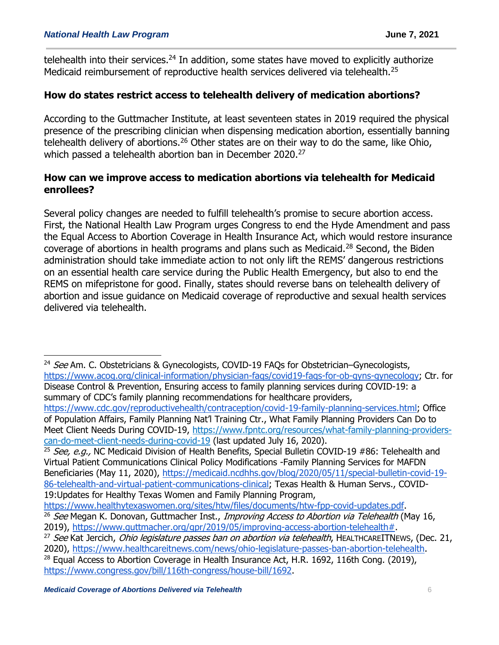telehealth into their services.<sup>24</sup> In addition, some states have moved to explicitly authorize Medicaid reimbursement of reproductive health services delivered via telehealth.<sup>25</sup>

# **How do states restrict access to telehealth delivery of medication abortions?**

According to the Guttmacher Institute, at least seventeen states in 2019 required the physical presence of the prescribing clinician when dispensing medication abortion, essentially banning telehealth delivery of abortions.<sup>26</sup> Other states are on their way to do the same, like Ohio, which passed a telehealth abortion ban in December 2020.<sup>27</sup>

#### **How can we improve access to medication abortions via telehealth for Medicaid enrollees?**

Several policy changes are needed to fulfill telehealth's promise to secure abortion access. First, the National Health Law Program urges Congress to end the Hyde Amendment and pass the Equal Access to Abortion Coverage in Health Insurance Act, which would restore insurance coverage of abortions in health programs and plans such as Medicaid.<sup>28</sup> Second, the Biden administration should take immediate action to not only lift the REMS' dangerous restrictions on an essential health care service during the Public Health Emergency, but also to end the REMS on mifepristone for good. Finally, states should reverse bans on telehealth delivery of abortion and issue guidance on Medicaid coverage of reproductive and sexual health services delivered via telehealth.

[can-do-meet-client-needs-during-covid-19](https://www.fpntc.org/resources/what-family-planning-providers-can-do-meet-client-needs-during-covid-19) (last updated July 16, 2020).

<sup>25</sup> See, e.g., NC Medicaid Division of Health Benefits, Special Bulletin COVID-19 #86: Telehealth and Virtual Patient Communications Clinical Policy Modifications -Family Planning Services for MAFDN Beneficiaries (May 11, 2020), [https://medicaid.ncdhhs.gov/blog/2020/05/11/special-bulletin-covid-19-](https://medicaid.ncdhhs.gov/blog/2020/05/11/special-bulletin-covid-19-86-telehealth-and-virtual-patient-communications-clinical) [86-telehealth-and-virtual-patient-communications-clinical;](https://medicaid.ncdhhs.gov/blog/2020/05/11/special-bulletin-covid-19-86-telehealth-and-virtual-patient-communications-clinical) Texas Health & Human Servs., COVID-19:Updates for Healthy Texas Women and Family Planning Program,

[https://www.healthytexaswomen.org/sites/htw/files/documents/htw-fpp-covid-updates.pdf.](https://www.healthytexaswomen.org/sites/htw/files/documents/htw-fpp-covid-updates.pdf) <sup>26</sup> See Megan K. Donovan, Guttmacher Inst., Improving Access to Abortion via Telehealth (May 16, 2019), [https://www.guttmacher.org/gpr/2019/05/improving-access-abortion-telehealth#.](https://www.guttmacher.org/gpr/2019/05/improving-access-abortion-telehealth)

 $24$  See Am. C. Obstetricians & Gynecologists, COVID-19 FAQs for Obstetrician–Gynecologists, [https://www.acog.org/clinical-information/physician-faqs/covid19-faqs-for-ob-gyns-gynecology;](https://www.acog.org/clinical-information/physician-faqs/covid19-faqs-for-ob-gyns-gynecology) Ctr. for Disease Control & Prevention, Ensuring access to family planning services during COVID-19: a summary of CDC's family planning recommendations for healthcare providers, [https://www.cdc.gov/reproductivehealth/contraception/covid-19-family-planning-services.html;](https://www.cdc.gov/reproductivehealth/contraception/covid-19-family-planning-services.htm) Office of Population Affairs, Family Planning Nat'l Training Ctr., What Family Planning Providers Can Do to Meet Client Needs During COVID-19, [https://www.fpntc.org/resources/what-family-planning-providers-](https://www.fpntc.org/resources/what-family-planning-providers-can-do-meet-client-needs-during-covid-19)

<sup>&</sup>lt;sup>27</sup> See Kat Jercich, *Ohio legislature passes ban on abortion via telehealth*, HEALTHCAREITNEWS, (Dec. 21, 2020), [https://www.healthcareitnews.com/news/ohio-legislature-passes-ban-abortion-telehealth.](https://www.healthcareitnews.com/news/ohio-legislature-passes-ban-abortion-telehealth)

<sup>&</sup>lt;sup>28</sup> Equal Access to Abortion Coverage in Health Insurance Act, H.R. 1692, 116th Cong. (2019), [https://www.congress.gov/bill/116th-congress/house-bill/1692.](https://www.congress.gov/bill/116th-congress/house-bill/1692)